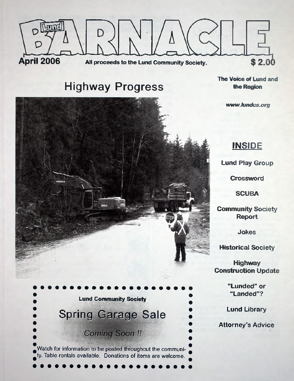

# **Highway Progress**

The Voice of Lund and the Region

www.lundcs.org

# **INSIDE**

**Lund Play Group**

**Crossword**

**SCUBA**

**Community Society Report**

**Jokes**

**Historical Society**

**Highway Construction Update**

> **"Lunded" or "Landed"?**

**Lund Library**

**Attorney's Advice**

**Lund Community Society** Spring Garage Sale **Coming Soon!!** Watch for information to be posted throughout the community. Table rentals available. Donations of items are welcome.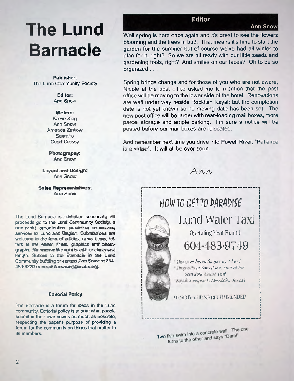# **Ann Snow The Lund Barnacle**

**Publisher:** The Lund Community Society

> **Editor:** Ann Snow

#### Writers:

Karen King Ann Snow Amanda Zaikow Saundra Court Cressy

Photography: Ann Snow

Layout and Design: Ann Snow

Sales Representatives: **Ann Snow** 

The Lund Barnacle is published seasonally. All proceeds go to the Lund Community Society, a non-profit organization! providing community services to Lund and Region. Submissions are welcome in the farm of articles, news items, letters to the editor, filters, graphics and photographs. We reserve the right to edit for clarity and length. Submit to the Barnacle in the Lund Community building; or contact Ann *Snow* at 604- 483-9220 or email barnacle@lundcs.org*.*

#### Editorial Policy

The Barnacle is a forum for ideas in the Lund community. Editorial policy is to print what people submit in their own voices as much as possible, respecting the paper's purpose of providing a forum for the community on things that matter to its members.

# **Editor**

Well spring is here once again and it's great to see the flowers blooming and the trees in bud. That means it's time to start the garden for the summer but of course we've had all winter to plan for it, right? So we are all ready with our little seeds and gardening tools, right? And smiles on our faces? Oh to be so organized . . .

Spring brings change and for those of you who are not aware, Nicole at the post office asked me to mention that the post office will be moving to the lower side of the hotel. Renovations are well under way beside Rockfish Kayak but the completion date is not yet known so no moving date has been set. The new post office will be larger with rear-loading mail boxes, more parcel storage and ample parking. I'm sure a notice will be posted before our mail boxes are relocated.

And remember next time you drive into Powell River, "Patience is a virtue'. It will all be over soon.

Ann



Two fish swim into a concrete wall. The one fish swim into a concrete wall.<br>turns to the other and says "Dam!"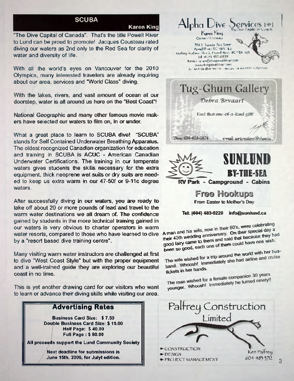# **SCUBA**

Karen King

"The Dive Capital of Canada". That's the title Powell River to Lund can be proud to promote! Jacques Cousteau rated diving our waters as 2nd only to the Red Sea for clarity of water and diversity of life.

With all the world's eyes on Vancouver for the 2010 Olympics, many interested travelers are already inquiring about our area, services and "World Class" diving.

With the lakes, rivers, and vast amount of ocean at our doorstep, water is all around us here on the "Best Coast"!

National Geographic and many other famous movie makers have selected our waters to film on, in or under.

What a great place to learn to SCUBA dive! "SCUBA" stands for Self Contained Underwater Breathing Apparatus. The oldest recognized Canadian organization for education and training in SCUBA is ACUC - American Canadian Underwater Certifications. The training in our temperate waters gives students the skills necessary for the extraequipment, thick neoprene wet suits or dry suits are needed to keep us extra warm in our 47-50f or 9-11c degree waters.

After successfully diving in our waters, you are ready to take off about 20 or more pounds of lead and travel to the warm water destinations we all dream of. The confidence gained by students in the more technical training gained in our waters is very obvious to charter operators in warm water resorts, compared to those who have learned to dive by a "resort based dive training centre".

Many visiting warm water instructors are challenged at first to dive "West Coast Style" but with the proper equipment and a well-trained guide they are exploring our beautiful coast in no time.

This is yet another drawing card for our visitors who want to learn or advance their diving skills while visiting our area.

# Advertising Rates

**Business Card Size: \$ 7.50 Double Business Card Size: \$ 15.00 Half Page: \$40.00 Full Page : \$ 80.00**

**All proceeds support the Lund Community Society**

 **Next deadline for submissions is June 15th, 2006, for Julyl edition.**



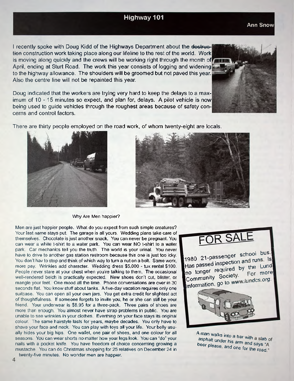# **Highway 101**

I recently spoke with Doug Kidd of the Highways Department about the destruction construction work taking place along our lifeline to the rest of the world. Work is moving along quickly and the crews will be working right through the month of April, ending at Sturt Road. The work this year consists of logging and widening. to the highway allowance. The shoulders will be groomed but not paved this year. Also the centre line will not be repainted this year.

Doug indicated that the workers are trying very hard to keep the delays to a maximum of 10 - 15 minutes so expect, and plan for, delays. A pilot vehicle is now being used to guide vehicles through the roughest areas because of safety concerns and control factors.

There are thirty people employed on the road work, of whom twenty-eight are locals.

Why Are Men happier?

Men are just happier people. What do you expect from such simple creatures?

Your last name stays put. The garage is all yours. Wedding plans take care of themselves. Chocolate is just another snack. You can never be pregnant. You can wear a white t-shirt to a water park. You can wear NO t-shirt to a water park. Car mechanics tell you the truth. The world is your urinal. You never have to drive to another gas station restroom because this one is just too icky You don't hav to stop and think of which way to turn a nut on a bolt. Same work, more pay. Wrinkles add character. Wedding dress \$5,000 - tux rental \$100. People never stare at your chest when you're talking to them, The occasional well-rendered belch is practically expected. New shoes don't cut, blister, or mangle your feet. One mood all the time. Phone conversations are over in 30 seconds flat. You know stuff about tanks. A five-day vacation requires only one suitcase. You can open all your own jars. You get extra credit for slightest act of thoughtfulness. If someone forgets to invite you, he or she can still be your friend. Your underwear is \$8.95 for a three-pack. Three pairs of shoes are more than enough. You almost never have strap problems in public. You are unable to see wrinkles in your clothes. Everthing on your face stays its original colour. The same hairstyle lasts for years, maybe decades. You only have to shave your face and neck. You can play with toys all your life. Your belly usually hides your big hips. One wallet, one pair of shoes, and one colour for all seasons. You can wear shorts no matter how your legs look. You can "do" your nails with a pocket knife. You have freedom of choice concerning growing a mustache. You can do Christmas shopping for 25 relatives on December 24 in twenty-five minutes. No wonder men are happier.







1980 21-passenger school bus. Has passed inspection and runs. Is no longer required by the Lund Community Society. For more information, go to www.lundcs.org.



A man walks into a bar with a slab of asphalt under his arm and says "A beer please, and one for the says  $\frac{1}{2}$ and one for the road

### **Ann Snow**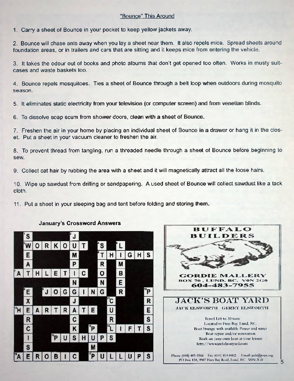# "Bounce" This Around

1*.* Carry a sheet of Bounce in your pocket to keep yellow jackets away.

2. Bounce will chase ants away when you lay a sheet near them. It also repels mice. Spread sheets around foundation areas, or in trailers and cars that are sitting and it keeps mice from entering the vehicle.

3. It takes the odour out of books and photo albums that don't get opened too often. Works in musty suitcases and waste baskets too.

4. Bounce repels mosquitoes. Ties a sheet of Bounce through a belt loop when outdoors during mosquito season.

5. It eliminates static electricity from your television (or computer screen) and from venetian blinds.

6. To dissolve soap scum from shower doors, clean with a sheet of Bounce.

7. Freshen the air in your home by placing an individual sheet of Bounce in a drawer or hang it in the closet. Put a sheet in your vacuum cleaner to freshen the air.

8. To prevent thread from tangling, run a threaded needle through a sheet of Bounce before beginning to sew.

9. Collect cat hair by rubbing the area with a sheet and it will magnetically attract all the loose hairs.

10. Wipe up sawdust from drilling or sandpapering. A used sheet of Bounce will collect sawdust like a tack cloth.

11. Put a sheet in your sleeping bag and tent before folding and storing them.





### **January's Crossword Answers**

5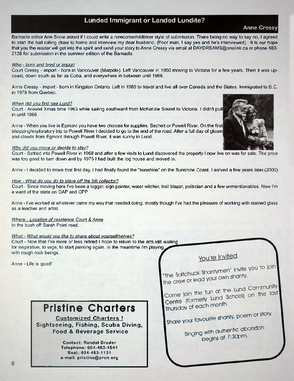# **Lunded Immigrant or Landed Lundite?**

**Anne Cressy**

Barnacle editor Ann Snow asked if I could write a newcomer/oldtimer style of submission. There being no way to say no, I agreed to start the ball rolling close to home and interview my dear husband. (Poor man, I say yes and he's interviewed). It is our hope that you the reader will get into the spirit and send your story to Anne Cressy via email at [DAYDREAMS@onelink.ca](mailto:DAYDREAMS@onelink.ca) or phone 483- 2128 for submission in the summer edition of the Barnacle.

#### *Who - bom and bred or import*

Court Cressy - import - born in Vancouver (Marpole). Left Vancouver in 1950 moving to Victoria for a few years. Then it was upcoast, down south as far as Cuba, and everywhere in between until 1968.

Anne Cressy - import - born in Kingston Ontario. Left in 1969 to travel and live all over Canada and the States. Immigrated to B.C. in 1978 from Quebec.

#### *When did vou first see Lund?*

Court - Around Xmas time 1963 while sailing southward from McKenzie Sound to Victoria. I didn't pull in until 1966

Anne - When you live in Egmont you have two choices for supplies. Sechelt or Powell River. On the first shopping/exploratory trip to Powell River I decided to go to the end of the road. After a full day of gloom and clouds from Egmont through Powell River, it was sunny in Lund.

#### *Whv did vou move or decide to stay?*

Court - Settled into Powell River in 1968 and after a few visits to Lund discovered the property I now live on was for sale. The price was too good to turn down and by 1975 I had built the log house and moved in.

Anne - 1 decided to move that first day, I had finally found the "sunshine" on the Sunshine Coast. I arrived a few years later.(2000)

#### *How* - *What do vou do to stave off the bill collector?*

Court - Since moving here I've been a logger, sign painter, water witcher, trail blazer, politician and a few unmentionables. Now I'm a ward of the state on OAP and CPP

Anne - I've worked at whatever came my way that needed doing, mostly though I've had the pleasure of working with stained glass as a teacher and artist.

*Where - Location of residence Court & Anne* In the bush off Sarah Point road.

#### *What - What would vou like to share about vourself/selves?*

Court - Now that I've more or less retired I hope to return to the arts.still waiting^ for inspiration, to urge, to start painting again. In the meantime I'm playing^ with rough rock beings.

Anne - Life is good!

# **Pristine Charters**

**Customized Charters ! Sightseeing, Fishing, Scuba Diving, Food & Beverage Service**

> **Contact: Randal Drader Telephone: 604-483-4541 Boat: 604-483-1131 e-mail: [pristine@prcn.org](mailto:pristine@prcn.org)**

You're Invited

"The Saltchuck Shantymen" invite you to join "The Saltchuck Sharilymon shanty.<br>the crew or lead your own shanty.

come join the fun at the Lund Community<br>Come join the fun at the Lund Community Centre (formerly Lund School) on the last<br>Thursday of each month.

**I Share your favourite shanty, poem ot story.**

Singing with authentic abandon **begins at** 7**.**30**pm-**

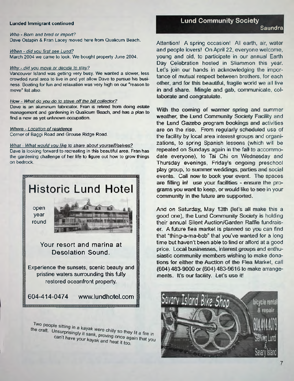#### **Lunded Immigrant continued**

*Who - Born and bred or import?* Dave Ostapin & Fran Lacey moved here from Qualicum Beach.

#### *When* - *did vou first* see *Lund?*

March 2004 we came to look. We bought property June 2004.

#### *Whv - did vou move or decide to stay?*

Vancouver Island was getting very busy. We wanted a slower, less **crowded rural area to live in and yet allow Dave to pursue his business. Boating for fun and relaxation was very high on our 'reason to move\* fist also.**

#### How - What do you do to stave off the bill collector?

**Dave is an aluminum fabricator.** Fran **is retired from doing** estate **management and gardening h i Qualicum Beach, and has a plan to find a new as** yet **unknown occupation.**

#### *Where - Location of residence*

Comer of Baggi Road and Grouse Ridge Road.

#### *What - What would vou like to share about vourself/selves?*

Dave is looking forward to recreating in this beautiful area. Fran has the gardening challenge of her life to figure out how to grow things on bedrock.



Two people sitting in a kayak were chilly so they lit a fire in<br>he craft. Unsurprisingly it sank, proving once again the in the craft. Unsurprisingly it sank, proving once again that you<br>can't have your kayak and heat it too can't have your kayak and heat it too.

#### **Lund Community Society**

Attention! A spring occasion! All earth, air, water and people lovers! On April 22, everyone welcome, young and old, to participate in our annual Earth Day Celebration hosted in Sliammon this year. Let's join our hands in acknowledging the importance of mutual respect between brothers, for each other, and for this beautiful, fragile world we all live in and share. Mingle and gab, communicate, collaborate and congratulate.

With the coming of warmer spring and summer weather, the Lund Community Society Facility and the Lund Gazebo program bookings and activities are on the rise. From regularly scheduled use of the facility by local area interest groups and organizations, to spring Spanish lessons (which will be repeated on Sundays again in the fall to accommodate everyone), to Tai Chi on Wednesday and Thursday evenings, Friday's ongoing preschool play group, to summer weddings, parties and social events. Call now to book your event. The spaces are filling ini use your facilities - ensure the programs you want to keep, or would like to see in your community in the future are supported.

And on Saturday, May 13th (let's all make this a good one), the Lund Community Society is holding their annual Silent Auction/Garden Raffle fundraiser. A future flea market is planned so you can find that "thing-a-ma-bob" that you've wanted for a long time but haven't been able to find or afford at a good price. Local businesses, interest groups and enthusiastic community members wishing to make donations for either the Auction of the Flea Market, call (604) 483-9000 or (604) 483-9616 to make arrangements. It's our facility. Let's use it!

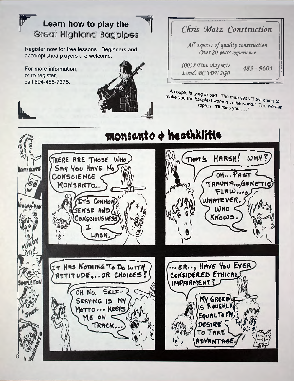# Learn how to play the **Great Highland Bagpipes**

Register now for free lessons. Beginners and accomplished players are welcome.

For more information, or to register, call 604-485-7375.



|                                                                 |  | Chris Matz Construction |  |
|-----------------------------------------------------------------|--|-------------------------|--|
| All aspects of quality construction<br>Over 20 years experience |  |                         |  |

10038 Finn Bay RD. Lund, BC VON 2GO

A couple is lying in bed. The man syas "I am going to make you the happiest woman in the world." The woman replies, "I'll miss you ..."



 $483 - 9605$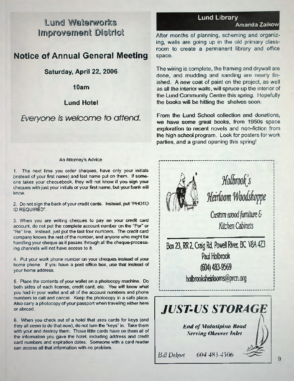# Lund Waterworks **Amanda Zaikow** Improvement District

# **Notice of Annual General Meeting**

# **Saturday, April 22, 2006**

**10am**

### **Lund Hotel**

# *Everyone is welcome to attend.*

#### An Attorney's Advice

1. The next time you order cheques, have only your initials (instead of your first name) and last name put on them. If someone takes your chequebook, they will not know' if you sign, your cheques with just your initials or your first name, but your bank will know.

**2.** Do not sign the back of your credit cards. Instead, put **''PHOTO** ID REQUIRED".

3. When you are writing cheques to pay cm your credit card account, do not put the complete account number on the "For"' or "Re" line. Instead, just put the last four numbers. The credit card company knows the rest of the number, and anyone who might be handling your cheque as it passes through ail the cheque-processing channels will not have access to it.

4. Put your work phone number on your cheques instead of your home phone. If you have a post office box, use that instead of your home address.

5. Place the contents of your wallet on a photocopy machine. Do both sides of each license, credit card, etc. You will know what you had in your wallet and all of the account numbers and phone numbers to call and cancel. Keep the photocopy in a safe place. Also carry a photocopy of your passport when traveling either here or abroad.

6. When you check out of a hotel that uses cards for keys (and they all seem to do that now), do not turn the "keys" in. Take them with your and destroy them. Those little cards have on them all of the information you gave the hotel, including address and credit card numbers and expiration dates. Someone with a card reader can access all that information with no problem.

# **Lund Library**

After months of planning, scheming and organizing, walls are going up in the old primary classroom to create a permanent library and office space.

The wiring is complete, the framing and drywall are done, and mudding and sanding are nearly finished. A new coat of paint on the project, as well as all the interior walls, will spruce up the interior of the Lund Community Centre this spring. Hopefully the books will be hitting the shelves soon.

From the Lund School collection and donations, we have some great books, from 1950s space exploration to recent novels and non-fiction from the high school program. Look for posters for work parties, and a grand opening this spring!

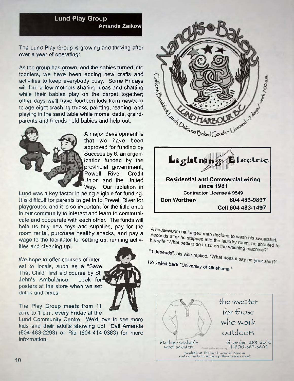

The Lund Play Group is growing and thriving after over a year of operating!

As the group has grown, and the babies turned into toddlers, we have been adding new crafts and activities to keep everybody busy. Some Fridays will find a few mothers sharing ideas and chatting while their babies play on the carpet together; other days we'll have fourteen kids from newborn to age eight crashing trucks, painting, reading, and playing in the sand table while moms, dads, grandparents and friends hold babies and help out.



A major development is that we have been approved for funding by Success by 6, an organization funded by the provincial government, Powell River Credit Union and the United Way. Our isolation in

Lund was a key factor in being eligible for funding. It is difficult for parents to get in to Powell River for playgroups, and it is so important for the little ones in our community to interact and learn to communicate and cooperate with each other. The funds will help us buy new toys and supplies, pay for the room rental, purchase healthy snacks, and pay a wage to the facilitator for setting up, running activities and cleaning up.

We hope to offer courses of interest to locals, such as a "Save That Child" first aid course by St. John's Ambulance. Look for posters at the store when we set dates and times.

The Play Group meets from 11 a.m. to 1 p.m. every Friday at the

Lund Community Centre. We'd love to see more kids and their adults showing up! Call Amanda (604-483-2298) or Ria (604-414-0383) for more information.



**since 1981 Contractor License # 9549 Don Worthen 604 483-9897 Cell 604 483-1497**

A housework-challenged man decided to wash his sweatshirt.<br>Seconds after he stepped into the laundry room, he also his wife Seconds after he stepped into the laundry room, he should to wash his sweatshirt.<br>his wife "What setting do I use on the washing machines"

<sup>it depends",</sup>

He yelled back "University" and the velled back of the state of the state of the state of the state of the state of the state of the state of the state of the state of the state of the state of the state of the state of th

**yelled back University of Oklahoma."**

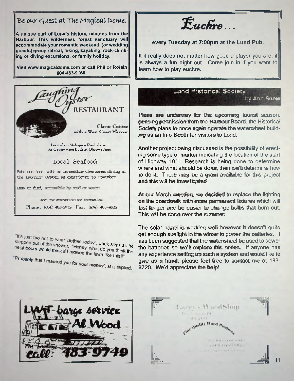# *Be our Guest* at The Magical Dome*.*

**A unique part of Lund's history, minutes from the Harbour. This wilderness forest sanctuary will accommodate your romantic weekend, (or wedding guests) group retreat, hiking, kayaking, rock-climbing or diving excursions, or family holiday.**

**Visit [www.magicaldome.com](http://www.magicaidome.com) or call Phil or Roisin 604-483-9160.**



Phone for reservations and tubramation!

**Phone: (**604**);** 483**-SOT Fas: ((**604**);** 483-4386

"It's just too hot to wear clothes today", Jack says as he<br>stepped out of the shower. "Honey, what do you think the neighbours would think if I mowed the lawn like this?"

"Probably that I married you for your money", she replied.

*E uchre...*

### **every Tuesday at 7:00pm at the Lund Pub.**

It it really does not matter how good a player you are, it illis always a fun night out. Come join in if you want to learn how to play euchre.

# Lund Historical Society

by Ann **Snow**

Plans are underway for the upcoming tourist season. pending permission from the Harbour Board, the Historical Society plans to once again operate the waterwheel building as an Info Booth for visitors to Lund.

Another project being discussed is the possibility of erecting some type of marker indicating the location of the start of Highway 101. Research is being done to determine where and what should be done, then we'll determine how to do it There may be a grant available for this project and this will be investigated.

At our March meeting, we dedided to replace the lighting on the boardwalk with more permanent fixtures which will last longer and be easier to change bulbs that burn out. This will be done over the summer.

The solar panel is working well however it doesn't quite get enough sunlight in the winter to power the batteries. It has been suggested that the waterwheel be used to power the batteries so we'll explore this option. If anyone has any experience setting up such a system and would like to give us a hand, please feel free to contact me at 483- 9220. We'd appreciate the help!